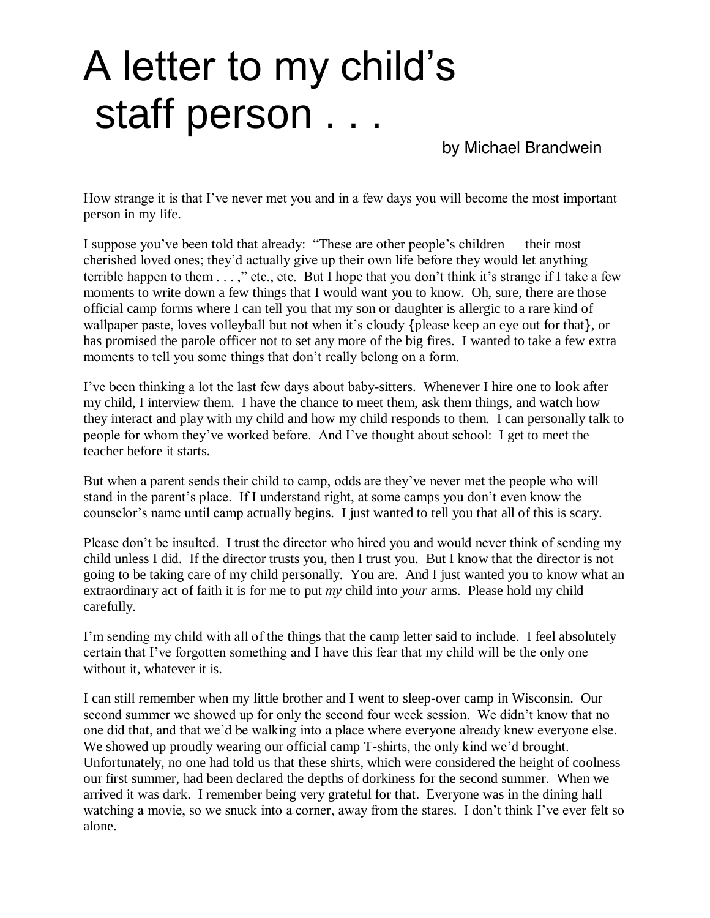## A letter to my child's staff person . . .

by Michael Brandwein

How strange it is that I've never met you and in a few days you will become the most important person in my life.

I suppose you've been told that already: "These are other people's children — their most cherished loved ones; they'd actually give up their own life before they would let anything terrible happen to them...," etc., etc. But I hope that you don't think it's strange if I take a few moments to write down a few things that I would want you to know. Oh, sure, there are those official camp forms where I can tell you that my son or daughter is allergic to a rare kind of wallpaper paste, loves volleyball but not when it's cloudy {please keep an eye out for that}, or has promised the parole officer not to set any more of the big fires. I wanted to take a few extra moments to tell you some things that don't really belong on a form.

I've been thinking a lot the last few days about baby-sitters. Whenever I hire one to look after my child, I interview them. I have the chance to meet them, ask them things, and watch how they interact and play with my child and how my child responds to them. I can personally talk to people for whom they've worked before. And I've thought about school: I get to meet the teacher before it starts.

But when a parent sends their child to camp, odds are they've never met the people who will stand in the parent's place. If I understand right, at some camps you don't even know the counselor's name until camp actually begins. I just wanted to tell you that all of this is scary.

Please don't be insulted. I trust the director who hired you and would never think of sending my child unless I did. If the director trusts you, then I trust you. But I know that the director is not going to be taking care of my child personally. You are. And I just wanted you to know what an extraordinary act of faith it is for me to put *my* child into *your* arms. Please hold my child carefully.

I'm sending my child with all of the things that the camp letter said to include. I feel absolutely certain that I've forgotten something and I have this fear that my child will be the only one without it, whatever it is.

I can still remember when my little brother and I went to sleep-over camp in Wisconsin. Our second summer we showed up for only the second four week session. We didn't know that no one did that, and that we'd be walking into a place where everyone already knew everyone else. We showed up proudly wearing our official camp T-shirts, the only kind we'd brought. Unfortunately, no one had told us that these shirts, which were considered the height of coolness our first summer, had been declared the depths of dorkiness for the second summer. When we arrived it was dark. I remember being very grateful for that. Everyone was in the dining hall watching a movie, so we snuck into a corner, away from the stares. I don't think I've ever felt so alone.